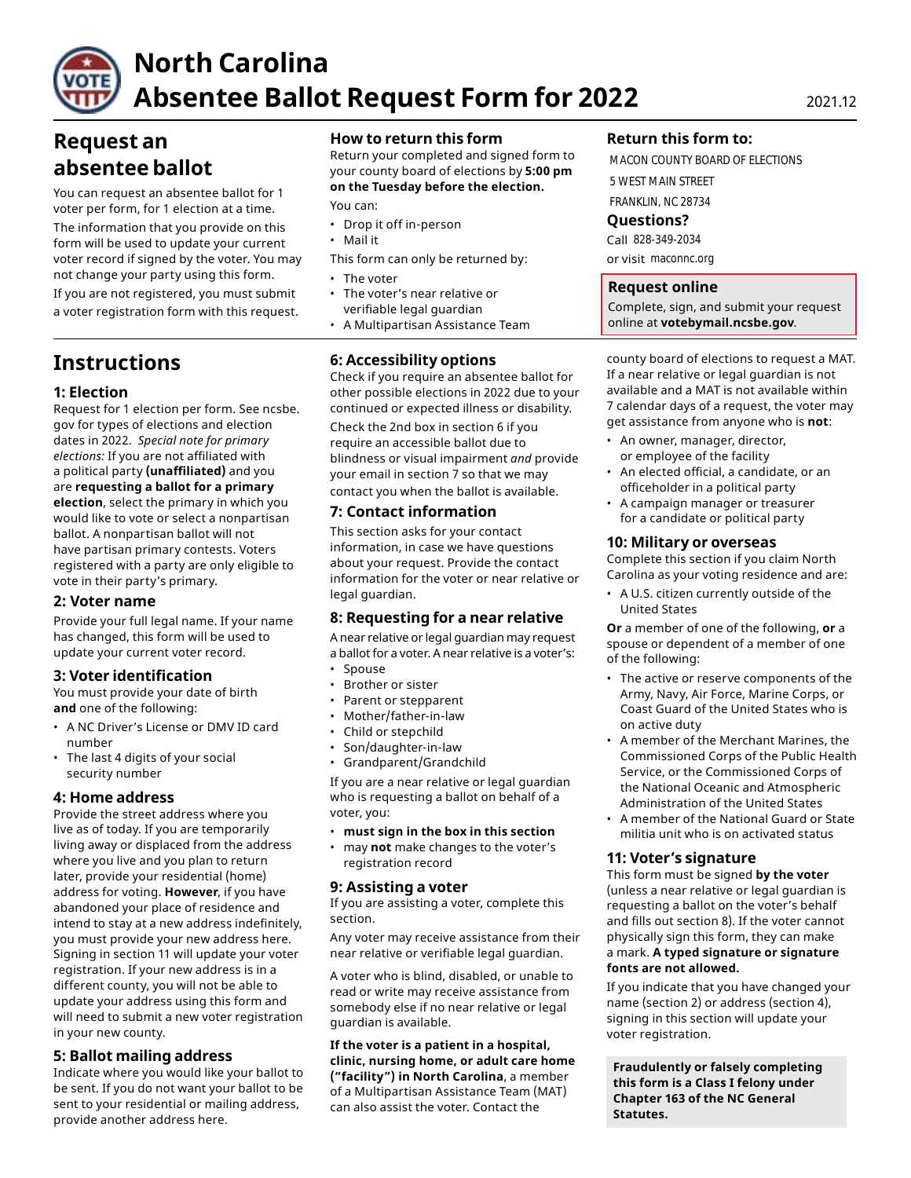

# **North Carolina Absentee Ballot Request Form for 2022** 2021.12

# **Request an absentee ballot**

You can request an absentee ballot for 1 voter per form, for 1 election at a time.

The information that you provide on this form will be used to update your current voter record if signed by the voter. You may not change your party using this form. • The voter

If you are not registered, you must submit • The voter's near relative or a voter registration form with this request.

# **Instructions**

# **1: Election**

Request for 1 election per form. See ncsbe. gov for types of elections and election dates in 2022. *Special note for primary elections:* If you are not affiliated with a political party **(unaffiliated)** and you are **requesting a ballot for a primary election**, select the primary in which you would like to vote or select a nonpartisan ballot. A nonpartisan ballot will not have partisan primary contests. Voters registered with a party are only eligible to vote in their party's primary.

# **2: Voter name**

Provide your full legal name. If your name has changed, this form will be used to update your current voter record.

# **3: Voter identification**

You must provide your date of birth **and** one of the following:

- A NC Driver's License or DMV ID card number
- The last 4 digits of your social security number

# **4: Home address**

Provide the street address where you live as of today. If you are temporarily living away or displaced from the address where you live and you plan to return later, provide your residential (home) address for voting. **However**, if you have abandoned your place of residence and intend to stay at a new address indefinitely, you must provide your new address here. Signing in section 11 will update your voter registration. If your new address is in a different county, you will not be able to update your address using this form and will need to submit a new voter registration in your new county.

# **5: Ballot mailing address**

Indicate where you would like your ballot to be sent. If you do not want your ballot to be sent to your residential or mailing address, provide another address here.

# **How to return this form**

Return your completed and signed form to your county board of elections by **5:00 pm on the Tuesday before the election.** 

You can:

- Drop it off in-person
- Mail it
- This form can only be returned by:
- 
- verifiable legal guardian
- A Multipartisan Assistance Team

# **6: Accessibility options**

Check if you require an absentee ballot for other possible elections in 2022 due to your continued or expected illness or disability.

Check the 2nd box in section 6 if you require an accessible ballot due to blindness or visual impairment *and* provide your email in section 7 so that we may contact you when the ballot is available.

# **7: Contact information**

This section asks for your contact information, in case we have questions about your request. Provide the contact information for the voter or near relative or legal guardian.

# **8: Requesting for a near relative**

A near relative or legal guardian may request a ballot for a voter. A near relative is a voter's:

- Spouse
- Brother or sister
- Parent or stepparent
- Mother/father-in-law
- Child or stepchild
- Son/daughter-in-law
- Grandparent/Grandchild

If you are a near relative or legal guardian who is requesting a ballot on behalf of a voter, you:

- **must sign in the box in this section**
- may **not** make changes to the voter's registration record

# **9: Assisting a voter**

If you are assisting a voter, complete this section.

Any voter may receive assistance from their near relative or verifiable legal guardian.

A voter who is blind, disabled, or unable to read or write may receive assistance from somebody else if no near relative or legal guardian is available.

**If the voter is a patient in a hospital, clinic, nursing home, or adult care home ("facility") in North Carolina**, a member of a Multipartisan Assistance Team (MAT) can also assist the voter. Contact the

# **Return this form to:**

MACON COUNTY BOARD OF ELECTIONS 5 WEST MAIN STREET FRANKLIN, NC 28734

### **Questions?**

Call 828-349-2034 or visit maconnc.org

# **Request online**

Complete, sign, and submit your request online at **[votebymail.ncsbe.gov](https://votebymail.ncsbe.gov)**.

county board of elections to request a MAT. If a near relative or legal guardian is not available and a MAT is not available within 7 calendar days of a request, the voter may get assistance from anyone who is **not**:

- An owner, manager, director, or employee of the facility
- An elected official, a candidate, or an officeholder in a political party
- A campaign manager or treasurer for a candidate or political party

### **10: Military or overseas**

Complete this section if you claim North Carolina as your voting residence and are:

• A U.S. citizen currently outside of the United States

**Or** a member of one of the following, **or** a spouse or dependent of a member of one of the following:

- The active or reserve components of the Army, Navy, Air Force, Marine Corps, or Coast Guard of the United States who is on active duty
- A member of the Merchant Marines, the Commissioned Corps of the Public Health Service, or the Commissioned Corps of the National Oceanic and Atmospheric Administration of the United States
- A member of the National Guard or State militia unit who is on activated status

#### **11: Voter's signature**

This form must be signed **by the voter**  (unless a near relative or legal guardian is requesting a ballot on the voter's behalf and fills out section 8). If the voter cannot physically sign this form, they can make a mark. **A typed signature or signature fonts are not allowed.** 

If you indicate that you have changed your name (section 2) or address (section 4), signing in this section will update your voter registration.

**Fraudulently or falsely completing this form is a Class I felony under Chapter 163 of the NC General Statutes.**